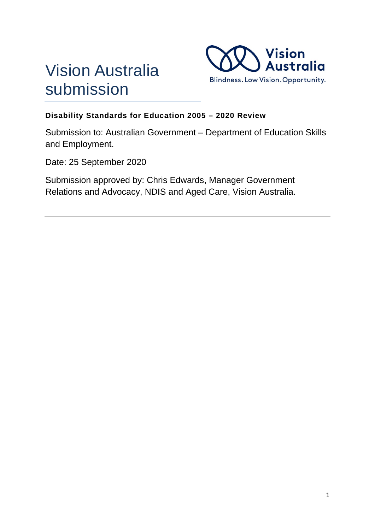



# **Disability Standards for Education 2005 – 2020 Review**

Submission to: Australian Government – Department of Education Skills and Employment.

Date: 25 September 2020

Submission approved by: Chris Edwards, Manager Government Relations and Advocacy, NDIS and Aged Care, Vision Australia.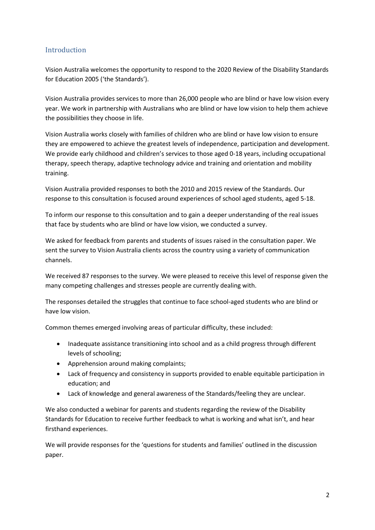# Introduction

Vision Australia welcomes the opportunity to respond to the 2020 Review of the Disability Standards for Education 2005 ('the Standards').

Vision Australia provides services to more than 26,000 people who are blind or have low vision every year. We work in partnership with Australians who are blind or have low vision to help them achieve the possibilities they choose in life.

Vision Australia works closely with families of children who are blind or have low vision to ensure they are empowered to achieve the greatest levels of independence, participation and development. We provide early childhood and children's services to those aged 0-18 years, including occupational therapy, speech therapy, adaptive technology advice and training and orientation and mobility training.

Vision Australia provided responses to both the 2010 and 2015 review of the Standards. Our response to this consultation is focused around experiences of school aged students, aged 5-18.

To inform our response to this consultation and to gain a deeper understanding of the real issues that face by students who are blind or have low vision, we conducted a survey.

We asked for feedback from parents and students of issues raised in the consultation paper. We sent the survey to Vision Australia clients across the country using a variety of communication channels.

We received 87 responses to the survey. We were pleased to receive this level of response given the many competing challenges and stresses people are currently dealing with.

The responses detailed the struggles that continue to face school-aged students who are blind or have low vision.

Common themes emerged involving areas of particular difficulty, these included:

- Inadequate assistance transitioning into school and as a child progress through different levels of schooling;
- Apprehension around making complaints;
- Lack of frequency and consistency in supports provided to enable equitable participation in education; and
- Lack of knowledge and general awareness of the Standards/feeling they are unclear.

We also conducted a webinar for parents and students regarding the review of the Disability Standards for Education to receive further feedback to what is working and what isn't, and hear firsthand experiences.

We will provide responses for the 'questions for students and families' outlined in the discussion paper.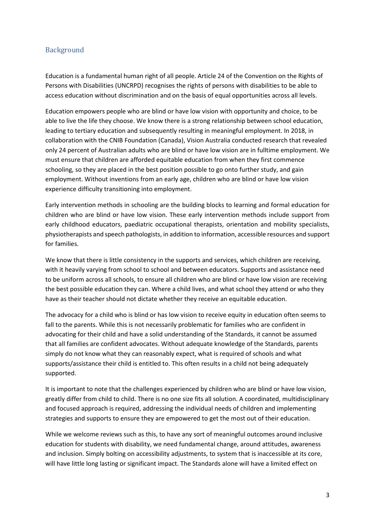## Background

Education is a fundamental human right of all people. Article 24 of the Convention on the Rights of Persons with Disabilities (UNCRPD) recognises the rights of persons with disabilities to be able to access education without discrimination and on the basis of equal opportunities across all levels.

Education empowers people who are blind or have low vision with opportunity and choice, to be able to live the life they choose. We know there is a strong relationship between school education, leading to tertiary education and subsequently resulting in meaningful employment. In 2018, in collaboration with the CNIB Foundation (Canada), Vision Australia conducted research that revealed only 24 percent of Australian adults who are blind or have low vision are in fulltime employment. We must ensure that children are afforded equitable education from when they first commence schooling, so they are placed in the best position possible to go onto further study, and gain employment. Without inventions from an early age, children who are blind or have low vision experience difficulty transitioning into employment.

Early intervention methods in schooling are the building blocks to learning and formal education for children who are blind or have low vision. These early intervention methods include support from early childhood educators, paediatric occupational therapists, orientation and mobility specialists, physiotherapists and speech pathologists, in addition to information, accessible resources and support for families.

We know that there is little consistency in the supports and services, which children are receiving, with it heavily varying from school to school and between educators. Supports and assistance need to be uniform across all schools, to ensure all children who are blind or have low vision are receiving the best possible education they can. Where a child lives, and what school they attend or who they have as their teacher should not dictate whether they receive an equitable education.

The advocacy for a child who is blind or has low vision to receive equity in education often seems to fall to the parents. While this is not necessarily problematic for families who are confident in advocating for their child and have a solid understanding of the Standards, it cannot be assumed that all families are confident advocates. Without adequate knowledge of the Standards, parents simply do not know what they can reasonably expect, what is required of schools and what supports/assistance their child is entitled to. This often results in a child not being adequately supported.

It is important to note that the challenges experienced by children who are blind or have low vision, greatly differ from child to child. There is no one size fits all solution. A coordinated, multidisciplinary and focused approach is required, addressing the individual needs of children and implementing strategies and supports to ensure they are empowered to get the most out of their education.

While we welcome reviews such as this, to have any sort of meaningful outcomes around inclusive education for students with disability, we need fundamental change, around attitudes, awareness and inclusion. Simply bolting on accessibility adjustments, to system that is inaccessible at its core, will have little long lasting or significant impact. The Standards alone will have a limited effect on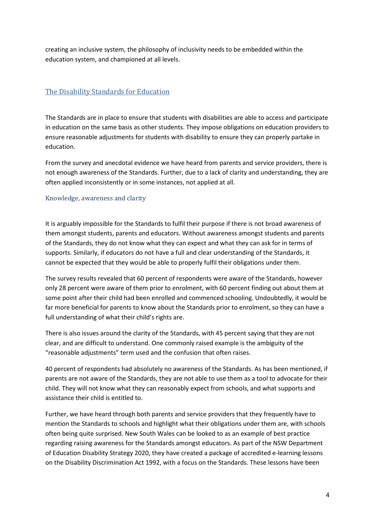creating an inclusive system, the philosophy of inclusivity needs to be embedded within the education system, and championed at all levels.

# The Disability Standards for Education

The Standards are in place to ensure that students with disabilities are able to access and participate in education on the same basis as other students. They impose obligations on education providers to ensure reasonable adjustments for students with disability to ensure they can properly partake in education.

From the survey and anecdotal evidence we have heard from parents and service providers, there is not enough awareness of the Standards. Further, due to a lack of clarity and understanding, they are often applied inconsistently or in some instances, not applied at all.

#### Knowledge, awareness and clarity

It is arguably impossible for the Standards to fulfil their purpose if there is not broad awareness of them amongst students, parents and educators. Without awareness amongst students and parents of the Standards, they do not know what they can expect and what they can ask for in terms of supports. Similarly, if educators do not have a full and clear understanding of the Standards, it cannot be expected that they would be able to properly fulfil their obligations under them.

The survey results revealed that 60 percent of respondents were aware of the Standards, however only 28 percent were aware of them prior to enrolment, with 60 percent finding out about them at some point after their child had been enrolled and commenced schooling. Undoubtedly, it would be far more beneficial for parents to know about the Standards prior to enrolment, so they can have a full understanding of what their child's rights are.

There is also issues around the clarity of the Standards, with 45 percent saying that they are not clear, and are difficult to understand. One commonly raised example is the ambiguity of the "reasonable adjustments" term used and the confusion that often raises.

40 percent of respondents had absolutely no awareness of the Standards. As has been mentioned, if parents are not aware of the Standards, they are not able to use them as a tool to advocate for their child. They will not know what they can reasonably expect from schools, and what supports and assistance their child is entitled to.

Further, we have heard through both parents and service providers that they frequently have to mention the Standards to schools and highlight what their obligations under them are, with schools often being quite surprised. New South Wales can be looked to as an example of best practice regarding raising awareness for the Standards amongst educators. As part of the NSW Department of Education Disability Strategy 2020, they have created a package of accredited e-learning lessons on the Disability Discrimination Act 1992, with a focus on the Standards. These lessons have been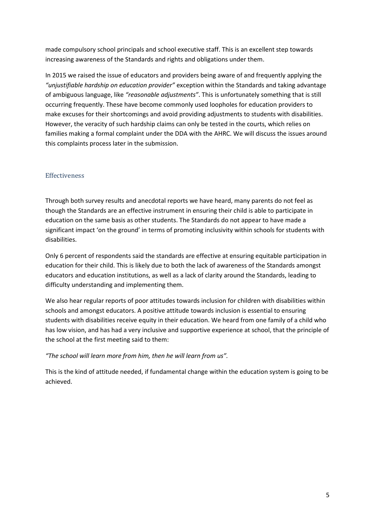made compulsory school principals and school executive staff. This is an excellent step towards increasing awareness of the Standards and rights and obligations under them.

In 2015 we raised the issue of educators and providers being aware of and frequently applying the *"unjustifiable hardship on education provider"* exception within the Standards and taking advantage of ambiguous language, like *"reasonable adjustments"*. This is unfortunately something that is still occurring frequently. These have become commonly used loopholes for education providers to make excuses for their shortcomings and avoid providing adjustments to students with disabilities. However, the veracity of such hardship claims can only be tested in the courts, which relies on families making a formal complaint under the DDA with the AHRC. We will discuss the issues around this complaints process later in the submission.

#### **Effectiveness**

Through both survey results and anecdotal reports we have heard, many parents do not feel as though the Standards are an effective instrument in ensuring their child is able to participate in education on the same basis as other students. The Standards do not appear to have made a significant impact 'on the ground' in terms of promoting inclusivity within schools for students with disabilities.

Only 6 percent of respondents said the standards are effective at ensuring equitable participation in education for their child. This is likely due to both the lack of awareness of the Standards amongst educators and education institutions, as well as a lack of clarity around the Standards, leading to difficulty understanding and implementing them.

We also hear regular reports of poor attitudes towards inclusion for children with disabilities within schools and amongst educators. A positive attitude towards inclusion is essential to ensuring students with disabilities receive equity in their education. We heard from one family of a child who has low vision, and has had a very inclusive and supportive experience at school, that the principle of the school at the first meeting said to them:

#### *"The school will learn more from him, then he will learn from us".*

This is the kind of attitude needed, if fundamental change within the education system is going to be achieved.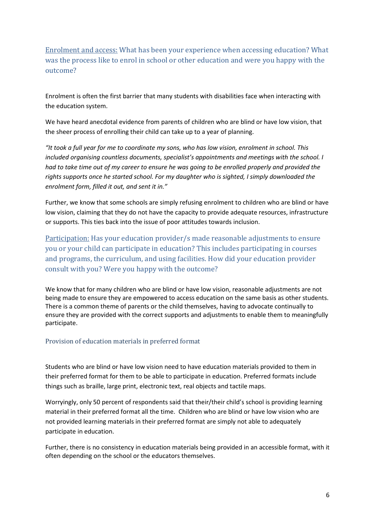Enrolment and access: What has been your experience when accessing education? What was the process like to enrol in school or other education and were you happy with the outcome?

Enrolment is often the first barrier that many students with disabilities face when interacting with the education system.

We have heard anecdotal evidence from parents of children who are blind or have low vision, that the sheer process of enrolling their child can take up to a year of planning.

*"It took a full year for me to coordinate my sons, who has low vision, enrolment in school. This included organising countless documents, specialist's appointments and meetings with the school. I had to take time out of my career to ensure he was going to be enrolled properly and provided the rights supports once he started school. For my daughter who is sighted, I simply downloaded the enrolment form, filled it out, and sent it in."* 

Further, we know that some schools are simply refusing enrolment to children who are blind or have low vision, claiming that they do not have the capacity to provide adequate resources, infrastructure or supports. This ties back into the issue of poor attitudes towards inclusion.

Participation: Has your education provider/s made reasonable adjustments to ensure you or your child can participate in education? This includes participating in courses and programs, the curriculum, and using facilities. How did your education provider consult with you? Were you happy with the outcome?

We know that for many children who are blind or have low vision, reasonable adjustments are not being made to ensure they are empowered to access education on the same basis as other students. There is a common theme of parents or the child themselves, having to advocate continually to ensure they are provided with the correct supports and adjustments to enable them to meaningfully participate.

#### Provision of education materials in preferred format

Students who are blind or have low vision need to have education materials provided to them in their preferred format for them to be able to participate in education. Preferred formats include things such as braille, large print, electronic text, real objects and tactile maps.

Worryingly, only 50 percent of respondents said that their/their child's school is providing learning material in their preferred format all the time. Children who are blind or have low vision who are not provided learning materials in their preferred format are simply not able to adequately participate in education.

Further, there is no consistency in education materials being provided in an accessible format, with it often depending on the school or the educators themselves.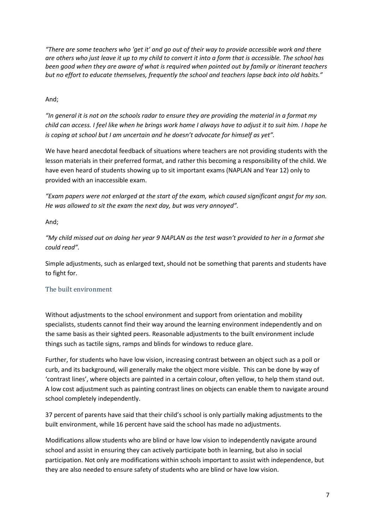*"There are some teachers who 'get it' and go out of their way to provide accessible work and there are others who just leave it up to my child to convert it into a form that is accessible. The school has been good when they are aware of what is required when pointed out by family or itinerant teachers but no effort to educate themselves, frequently the school and teachers lapse back into old habits."* 

### And;

*"In general it is not on the schools radar to ensure they are providing the material in a format my child can access. I feel like when he brings work home I always have to adjust it to suit him. I hope he is coping at school but I am uncertain and he doesn't advocate for himself as yet".* 

We have heard anecdotal feedback of situations where teachers are not providing students with the lesson materials in their preferred format, and rather this becoming a responsibility of the child. We have even heard of students showing up to sit important exams (NAPLAN and Year 12) only to provided with an inaccessible exam.

*"Exam papers were not enlarged at the start of the exam, which caused significant angst for my son. He was allowed to sit the exam the next day, but was very annoyed".* 

## And;

*"My child missed out on doing her year 9 NAPLAN as the test wasn't provided to her in a format she could read".* 

Simple adjustments, such as enlarged text, should not be something that parents and students have to fight for.

## The built environment

Without adjustments to the school environment and support from orientation and mobility specialists, students cannot find their way around the learning environment independently and on the same basis as their sighted peers. Reasonable adjustments to the built environment include things such as tactile signs, ramps and blinds for windows to reduce glare.

Further, for students who have low vision, increasing contrast between an object such as a poll or curb, and its background, will generally make the object more visible. This can be done by way of 'contrast lines', where objects are painted in a certain colour, often yellow, to help them stand out. A low cost adjustment such as painting contrast lines on objects can enable them to navigate around school completely independently.

37 percent of parents have said that their child's school is only partially making adjustments to the built environment, while 16 percent have said the school has made no adjustments.

Modifications allow students who are blind or have low vision to independently navigate around school and assist in ensuring they can actively participate both in learning, but also in social participation. Not only are modifications within schools important to assist with independence, but they are also needed to ensure safety of students who are blind or have low vision.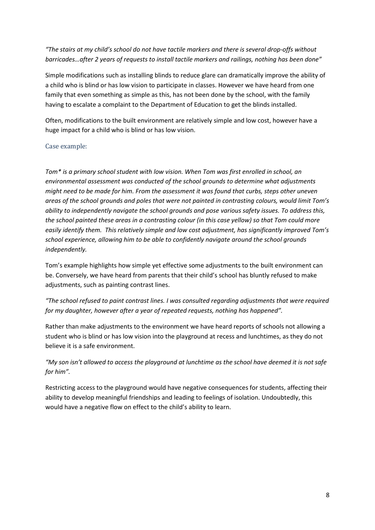*"The stairs at my child's school do not have tactile markers and there is several drop-offs without barricades…after 2 years of requests to install tactile markers and railings, nothing has been done"* 

Simple modifications such as installing blinds to reduce glare can dramatically improve the ability of a child who is blind or has low vision to participate in classes. However we have heard from one family that even something as simple as this, has not been done by the school, with the family having to escalate a complaint to the Department of Education to get the blinds installed.

Often, modifications to the built environment are relatively simple and low cost, however have a huge impact for a child who is blind or has low vision.

#### Case example:

*Tom\* is a primary school student with low vision. When Tom was first enrolled in school, an environmental assessment was conducted of the school grounds to determine what adjustments might need to be made for him. From the assessment it was found that curbs, steps other uneven areas of the school grounds and poles that were not painted in contrasting colours, would limit Tom's ability to independently navigate the school grounds and pose various safety issues. To address this, the school painted these areas in a contrasting colour (in this case yellow) so that Tom could more easily identify them. This relatively simple and low cost adjustment, has significantly improved Tom's school experience, allowing him to be able to confidently navigate around the school grounds independently.* 

Tom's example highlights how simple yet effective some adjustments to the built environment can be. Conversely, we have heard from parents that their child's school has bluntly refused to make adjustments, such as painting contrast lines.

*"The school refused to paint contrast lines. I was consulted regarding adjustments that were required for my daughter, however after a year of repeated requests, nothing has happened".* 

Rather than make adjustments to the environment we have heard reports of schools not allowing a student who is blind or has low vision into the playground at recess and lunchtimes, as they do not believe it is a safe environment.

*"My son isn't allowed to access the playground at lunchtime as the school have deemed it is not safe for him".* 

Restricting access to the playground would have negative consequences for students, affecting their ability to develop meaningful friendships and leading to feelings of isolation. Undoubtedly, this would have a negative flow on effect to the child's ability to learn.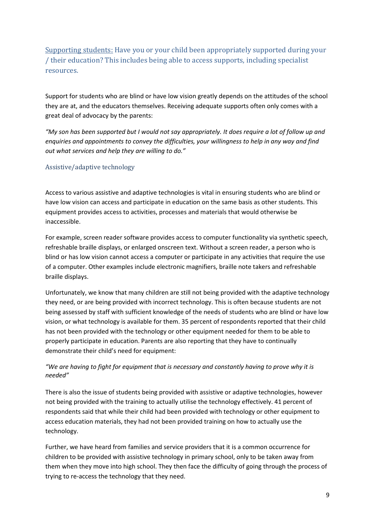Supporting students: Have you or your child been appropriately supported during your / their education? This includes being able to access supports, including specialist resources.

Support for students who are blind or have low vision greatly depends on the attitudes of the school they are at, and the educators themselves. Receiving adequate supports often only comes with a great deal of advocacy by the parents:

*"My son has been supported but I would not say appropriately. It does require a lot of follow up and enquiries and appointments to convey the difficulties, your willingness to help in any way and find out what services and help they are willing to do."* 

## Assistive/adaptive technology

Access to various assistive and adaptive technologies is vital in ensuring students who are blind or have low vision can access and participate in education on the same basis as other students. This equipment provides access to activities, processes and materials that would otherwise be inaccessible.

For example, screen reader software provides access to computer functionality via synthetic speech, refreshable braille displays, or enlarged onscreen text. Without a screen reader, a person who is blind or has low vision cannot access a computer or participate in any activities that require the use of a computer. Other examples include electronic magnifiers, braille note takers and refreshable braille displays.

Unfortunately, we know that many children are still not being provided with the adaptive technology they need, or are being provided with incorrect technology. This is often because students are not being assessed by staff with sufficient knowledge of the needs of students who are blind or have low vision, or what technology is available for them. 35 percent of respondents reported that their child has not been provided with the technology or other equipment needed for them to be able to properly participate in education. Parents are also reporting that they have to continually demonstrate their child's need for equipment:

## *"We are having to fight for equipment that is necessary and constantly having to prove why it is needed"*

There is also the issue of students being provided with assistive or adaptive technologies, however not being provided with the training to actually utilise the technology effectively. 41 percent of respondents said that while their child had been provided with technology or other equipment to access education materials, they had not been provided training on how to actually use the technology.

Further, we have heard from families and service providers that it is a common occurrence for children to be provided with assistive technology in primary school, only to be taken away from them when they move into high school. They then face the difficulty of going through the process of trying to re-access the technology that they need.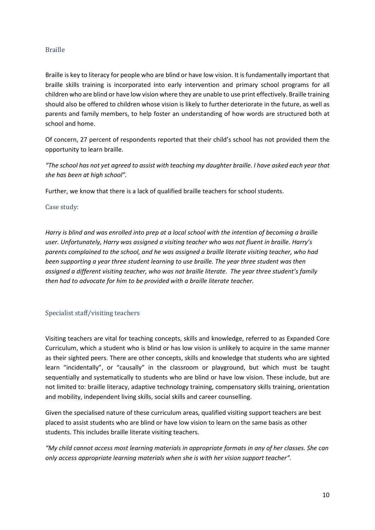#### Braille

Braille is key to literacy for people who are blind or have low vision. It is fundamentally important that braille skills training is incorporated into early intervention and primary school programs for all children who are blind or have low vision where they are unable to use print effectively. Braille training should also be offered to children whose vision is likely to further deteriorate in the future, as well as parents and family members, to help foster an understanding of how words are structured both at school and home.

Of concern, 27 percent of respondents reported that their child's school has not provided them the opportunity to learn braille.

*"The school has not yet agreed to assist with teaching my daughter braille. I have asked each year that she has been at high school".* 

Further, we know that there is a lack of qualified braille teachers for school students.

#### Case study:

*Harry is blind and was enrolled into prep at a local school with the intention of becoming a braille user. Unfortunately, Harry was assigned a visiting teacher who was not fluent in braille. Harry's parents complained to the school, and he was assigned a braille literate visiting teacher, who had been supporting a year three student learning to use braille. The year three student was then assigned a different visiting teacher, who was not braille literate. The year three student's family then had to advocate for him to be provided with a braille literate teacher.* 

#### Specialist staff/visiting teachers

Visiting teachers are vital for teaching concepts, skills and knowledge, referred to as Expanded Core Curriculum, which a student who is blind or has low vision is unlikely to acquire in the same manner as their sighted peers. There are other concepts, skills and knowledge that students who are sighted learn "incidentally", or "causally" in the classroom or playground, but which must be taught sequentially and systematically to students who are blind or have low vision. These include, but are not limited to: braille literacy, adaptive technology training, compensatory skills training, orientation and mobility, independent living skills, social skills and career counselling.

Given the specialised nature of these curriculum areas, qualified visiting support teachers are best placed to assist students who are blind or have low vision to learn on the same basis as other students. This includes braille literate visiting teachers.

*"My child cannot access most learning materials in appropriate formats in any of her classes. She can only access appropriate learning materials when she is with her vision support teacher".*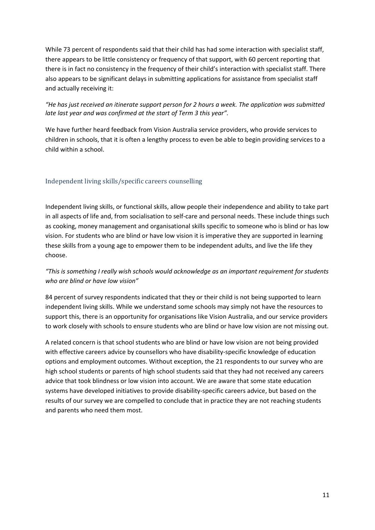While 73 percent of respondents said that their child has had some interaction with specialist staff, there appears to be little consistency or frequency of that support, with 60 percent reporting that there is in fact no consistency in the frequency of their child's interaction with specialist staff. There also appears to be significant delays in submitting applications for assistance from specialist staff and actually receiving it:

### *"He has just received an itinerate support person for 2 hours a week. The application was submitted late last year and was confirmed at the start of Term 3 this year".*

We have further heard feedback from Vision Australia service providers, who provide services to children in schools, that it is often a lengthy process to even be able to begin providing services to a child within a school.

## Independent living skills/specific careers counselling

Independent living skills, or functional skills, allow people their independence and ability to take part in all aspects of life and, from socialisation to self-care and personal needs. These include things such as cooking, money management and organisational skills specific to someone who is blind or has low vision. For students who are blind or have low vision it is imperative they are supported in learning these skills from a young age to empower them to be independent adults, and live the life they choose.

## *"This is something I really wish schools would acknowledge as an important requirement for students who are blind or have low vision"*

84 percent of survey respondents indicated that they or their child is not being supported to learn independent living skills. While we understand some schools may simply not have the resources to support this, there is an opportunity for organisations like Vision Australia, and our service providers to work closely with schools to ensure students who are blind or have low vision are not missing out.

A related concern is that school students who are blind or have low vision are not being provided with effective careers advice by counsellors who have disability-specific knowledge of education options and employment outcomes. Without exception, the 21 respondents to our survey who are high school students or parents of high school students said that they had not received any careers advice that took blindness or low vision into account. We are aware that some state education systems have developed initiatives to provide disability-specific careers advice, but based on the results of our survey we are compelled to conclude that in practice they are not reaching students and parents who need them most.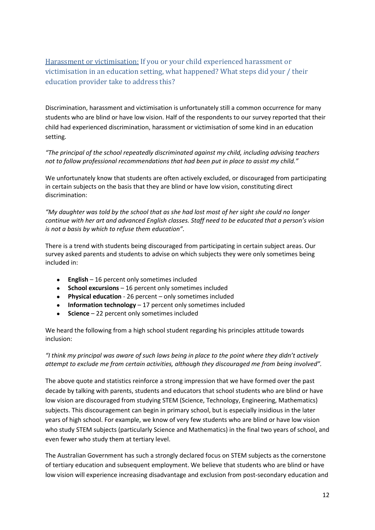Harassment or victimisation: If you or your child experienced harassment or victimisation in an education setting, what happened? What steps did your / their education provider take to address this?

Discrimination, harassment and victimisation is unfortunately still a common occurrence for many students who are blind or have low vision. Half of the respondents to our survey reported that their child had experienced discrimination, harassment or victimisation of some kind in an education setting.

*"The principal of the school repeatedly discriminated against my child, including advising teachers not to follow professional recommendations that had been put in place to assist my child."* 

We unfortunately know that students are often actively excluded, or discouraged from participating in certain subjects on the basis that they are blind or have low vision, constituting direct discrimination:

*"My daughter was told by the school that as she had lost most of her sight she could no longer continue with her art and advanced English classes. Staff need to be educated that a person's vision is not a basis by which to refuse them education".* 

There is a trend with students being discouraged from participating in certain subject areas. Our survey asked parents and students to advise on which subjects they were only sometimes being included in:

- **English** 16 percent only sometimes included
- **School excursions** 16 percent only sometimes included
- **Physical education** 26 percent only sometimes included
- **Information technology** 17 percent only sometimes included
- **Science** 22 percent only sometimes included

We heard the following from a high school student regarding his principles attitude towards inclusion:

*"I think my principal was aware of such laws being in place to the point where they didn't actively attempt to exclude me from certain activities, although they discouraged me from being involved".* 

The above quote and statistics reinforce a strong impression that we have formed over the past decade by talking with parents, students and educators that school students who are blind or have low vision are discouraged from studying STEM (Science, Technology, Engineering, Mathematics) subjects. This discouragement can begin in primary school, but is especially insidious in the later years of high school. For example, we know of very few students who are blind or have low vision who study STEM subjects (particularly Science and Mathematics) in the final two years of school, and even fewer who study them at tertiary level.

The Australian Government has such a strongly declared focus on STEM subjects as the cornerstone of tertiary education and subsequent employment. We believe that students who are blind or have low vision will experience increasing disadvantage and exclusion from post-secondary education and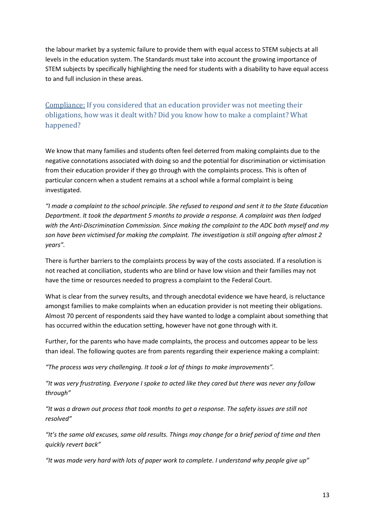the labour market by a systemic failure to provide them with equal access to STEM subjects at all levels in the education system. The Standards must take into account the growing importance of STEM subjects by specifically highlighting the need for students with a disability to have equal access to and full inclusion in these areas.

# Compliance: If you considered that an education provider was not meeting their obligations, how was it dealt with? Did you know how to make a complaint? What happened?

We know that many families and students often feel deterred from making complaints due to the negative connotations associated with doing so and the potential for discrimination or victimisation from their education provider if they go through with the complaints process. This is often of particular concern when a student remains at a school while a formal complaint is being investigated.

*"I made a complaint to the school principle. She refused to respond and sent it to the State Education Department. It took the department 5 months to provide a response. A complaint was then lodged with the Anti-Discrimination Commission. Since making the complaint to the ADC both myself and my son have been victimised for making the complaint. The investigation is still ongoing after almost 2 years".* 

There is further barriers to the complaints process by way of the costs associated. If a resolution is not reached at conciliation, students who are blind or have low vision and their families may not have the time or resources needed to progress a complaint to the Federal Court.

What is clear from the survey results, and through anecdotal evidence we have heard, is reluctance amongst families to make complaints when an education provider is not meeting their obligations. Almost 70 percent of respondents said they have wanted to lodge a complaint about something that has occurred within the education setting, however have not gone through with it.

Further, for the parents who have made complaints, the process and outcomes appear to be less than ideal. The following quotes are from parents regarding their experience making a complaint:

*"The process was very challenging. It took a lot of things to make improvements".* 

*"It was very frustrating. Everyone I spoke to acted like they cared but there was never any follow through"* 

*"It was a drawn out process that took months to get a response. The safety issues are still not resolved"* 

*"It's the same old excuses, same old results. Things may change for a brief period of time and then quickly revert back"* 

*"It was made very hard with lots of paper work to complete. I understand why people give up"*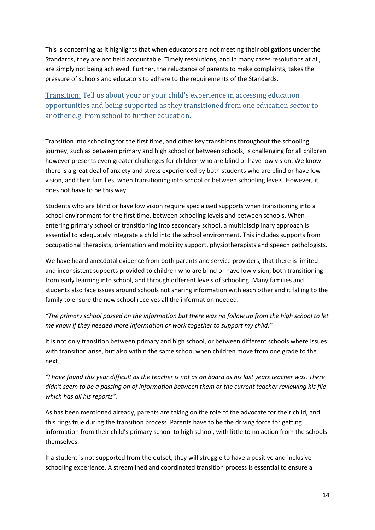This is concerning as it highlights that when educators are not meeting their obligations under the Standards, they are not held accountable. Timely resolutions, and in many cases resolutions at all, are simply not being achieved. Further, the reluctance of parents to make complaints, takes the pressure of schools and educators to adhere to the requirements of the Standards.

Transition: Tell us about your or your child's experience in accessing education opportunities and being supported as they transitioned from one education sector to another e.g. from school to further education.

Transition into schooling for the first time, and other key transitions throughout the schooling journey, such as between primary and high school or between schools, is challenging for all children however presents even greater challenges for children who are blind or have low vision. We know there is a great deal of anxiety and stress experienced by both students who are blind or have low vision, and their families, when transitioning into school or between schooling levels. However, it does not have to be this way.

Students who are blind or have low vision require specialised supports when transitioning into a school environment for the first time, between schooling levels and between schools. When entering primary school or transitioning into secondary school, a multidisciplinary approach is essential to adequately integrate a child into the school environment. This includes supports from occupational therapists, orientation and mobility support, physiotherapists and speech pathologists.

We have heard anecdotal evidence from both parents and service providers, that there is limited and inconsistent supports provided to children who are blind or have low vision, both transitioning from early learning into school, and through different levels of schooling. Many families and students also face issues around schools not sharing information with each other and it falling to the family to ensure the new school receives all the information needed.

*"The primary school passed on the information but there was no follow up from the high school to let me know if they needed more information or work together to support my child."* 

It is not only transition between primary and high school, or between different schools where issues with transition arise, but also within the same school when children move from one grade to the next.

*"I have found this year difficult as the teacher is not as on board as his last years teacher was. There didn't seem to be a passing on of information between them or the current teacher reviewing his file which has all his reports".* 

As has been mentioned already, parents are taking on the role of the advocate for their child, and this rings true during the transition process. Parents have to be the driving force for getting information from their child's primary school to high school, with little to no action from the schools themselves.

If a student is not supported from the outset, they will struggle to have a positive and inclusive schooling experience. A streamlined and coordinated transition process is essential to ensure a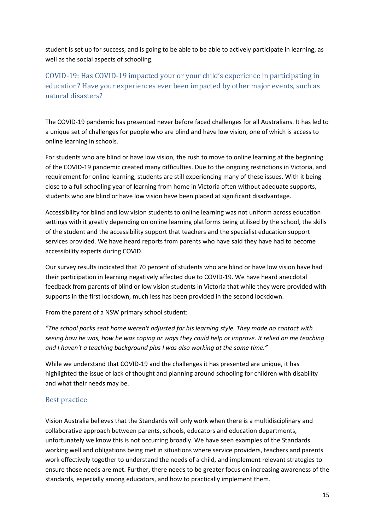student is set up for success, and is going to be able to be able to actively participate in learning, as well as the social aspects of schooling.

# COVID-19: Has COVID-19 impacted your or your child's experience in participating in education? Have your experiences ever been impacted by other major events, such as natural disasters?

The COVID-19 pandemic has presented never before faced challenges for all Australians. It has led to a unique set of challenges for people who are blind and have low vision, one of which is access to online learning in schools.

For students who are blind or have low vision, the rush to move to online learning at the beginning of the COVID-19 pandemic created many difficulties. Due to the ongoing restrictions in Victoria, and requirement for online learning, students are still experiencing many of these issues. With it being close to a full schooling year of learning from home in Victoria often without adequate supports, students who are blind or have low vision have been placed at significant disadvantage.

Accessibility for blind and low vision students to online learning was not uniform across education settings with it greatly depending on online learning platforms being utilised by the school, the skills of the student and the accessibility support that teachers and the specialist education support services provided. We have heard reports from parents who have said they have had to become accessibility experts during COVID.

Our survey results indicated that 70 percent of students who are blind or have low vision have had their participation in learning negatively affected due to COVID-19. We have heard anecdotal feedback from parents of blind or low vision students in Victoria that while they were provided with supports in the first lockdown, much less has been provided in the second lockdown.

From the parent of a NSW primary school student:

*"The school packs sent home weren't adjusted for his learning style. They made no contact with seeing how he was, how he was coping or ways they could help or improve. It relied on me teaching and I haven't a teaching background plus I was also working at the same time."* 

While we understand that COVID-19 and the challenges it has presented are unique, it has highlighted the issue of lack of thought and planning around schooling for children with disability and what their needs may be.

## Best practice

Vision Australia believes that the Standards will only work when there is a multidisciplinary and collaborative approach between parents, schools, educators and education departments, unfortunately we know this is not occurring broadly. We have seen examples of the Standards working well and obligations being met in situations where service providers, teachers and parents work effectively together to understand the needs of a child, and implement relevant strategies to ensure those needs are met. Further, there needs to be greater focus on increasing awareness of the standards, especially among educators, and how to practically implement them.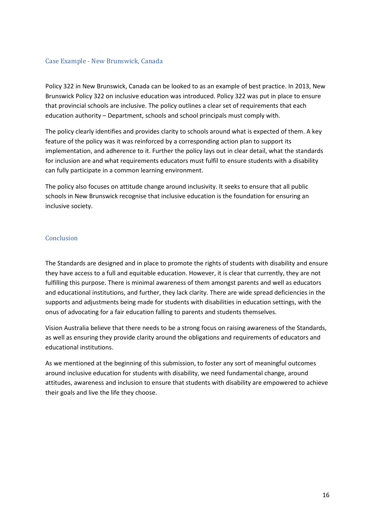#### Case Example - New Brunswick, Canada

Policy 322 in New Brunswick, Canada can be looked to as an example of best practice. In 2013, New Brunswick Policy 322 on inclusive education was introduced. Policy 322 was put in place to ensure that provincial schools are inclusive. The policy outlines a clear set of requirements that each education authority – Department, schools and school principals must comply with.

The policy clearly identifies and provides clarity to schools around what is expected of them. A key feature of the policy was it was reinforced by a corresponding action plan to support its implementation, and adherence to it. Further the policy lays out in clear detail, what the standards for inclusion are and what requirements educators must fulfil to ensure students with a disability can fully participate in a common learning environment.

The policy also focuses on attitude change around inclusivity. It seeks to ensure that all public schools in New Brunswick recognise that inclusive education is the foundation for ensuring an inclusive society.

#### **Conclusion**

The Standards are designed and in place to promote the rights of students with disability and ensure they have access to a full and equitable education. However, it is clear that currently, they are not fulfilling this purpose. There is minimal awareness of them amongst parents and well as educators and educational institutions, and further, they lack clarity. There are wide spread deficiencies in the supports and adjustments being made for students with disabilities in education settings, with the onus of advocating for a fair education falling to parents and students themselves.

Vision Australia believe that there needs to be a strong focus on raising awareness of the Standards, as well as ensuring they provide clarity around the obligations and requirements of educators and educational institutions.

As we mentioned at the beginning of this submission, to foster any sort of meaningful outcomes around inclusive education for students with disability, we need fundamental change, around attitudes, awareness and inclusion to ensure that students with disability are empowered to achieve their goals and live the life they choose.